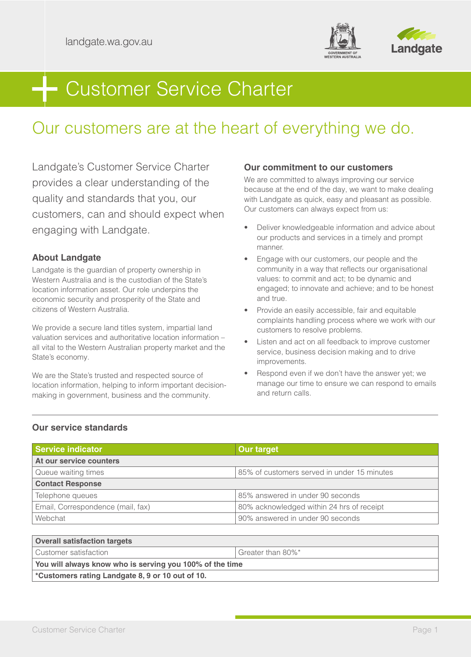



# Customer Service Charter

# Our customers are at the heart of everything we do.

Landgate's Customer Service Charter provides a clear understanding of the quality and standards that you, our customers, can and should expect when engaging with Landgate.

# **About Landgate**

Landgate is the guardian of property ownership in Western Australia and is the custodian of the State's location information asset. Our role underpins the economic security and prosperity of the State and citizens of Western Australia.

We provide a secure land titles system, impartial land valuation services and authoritative location information – all vital to the Western Australian property market and the State's economy.

We are the State's trusted and respected source of location information, helping to inform important decisionmaking in government, business and the community.

# **Our commitment to our customers**

We are committed to always improving our service because at the end of the day, we want to make dealing with Landgate as quick, easy and pleasant as possible. Our customers can always expect from us:

- Deliver knowledgeable information and advice about our products and services in a timely and prompt manner.
- Engage with our customers, our people and the community in a way that reflects our organisational values: to commit and act; to be dynamic and engaged; to innovate and achieve; and to be honest and true.
- Provide an easily accessible, fair and equitable complaints handling process where we work with our customers to resolve problems.
- Listen and act on all feedback to improve customer service, business decision making and to drive improvements.
- Respond even if we don't have the answer yet; we manage our time to ensure we can respond to emails and return calls.

# **Our service standards**

| <b>Service indicator</b>            | <b>Our target</b>                           |  |
|-------------------------------------|---------------------------------------------|--|
| At our service counters             |                                             |  |
| Queue waiting times                 | 85% of customers served in under 15 minutes |  |
| <b>Contact Response</b>             |                                             |  |
| Telephone queues                    | 85% answered in under 90 seconds            |  |
| Email, Correspondence (mail, fax)   | 80% acknowledged within 24 hrs of receipt   |  |
| Webchat                             | 90% answered in under 90 seconds            |  |
|                                     |                                             |  |
| <b>Overall satisfaction targets</b> |                                             |  |

| $\sim$ vcı alı satısıdçtibil targets                         |                   |  |
|--------------------------------------------------------------|-------------------|--|
| Customer satisfaction                                        | Greater than 80%* |  |
| You will always know who is serving you 100% of the time     |                   |  |
| <sup>*</sup> Customers rating Landgate 8, 9 or 10 out of 10. |                   |  |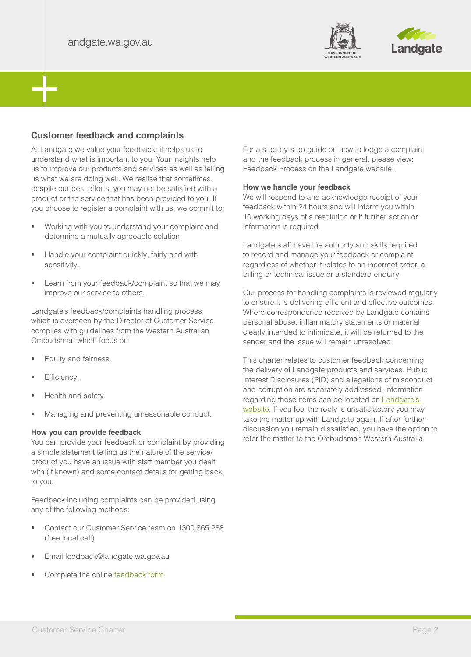



# **Customer feedback and complaints**

At Landgate we value your feedback; it helps us to understand what is important to you. Your insights help us to improve our products and services as well as telling us what we are doing well. We realise that sometimes, despite our best efforts, you may not be satisfied with a product or the service that has been provided to you. If you choose to register a complaint with us, we commit to:

- Working with you to understand your complaint and determine a mutually agreeable solution.
- Handle your complaint quickly, fairly and with sensitivity.
- Learn from your feedback/complaint so that we may improve our service to others.

Landgate's feedback/complaints handling process, which is overseen by the Director of Customer Service, complies with guidelines from the Western Australian Ombudsman which focus on:

- Equity and fairness.
- Efficiency.
- Health and safety.
- Managing and preventing unreasonable conduct.

#### **How you can provide feedback**

You can provide your feedback or complaint by providing a simple statement telling us the nature of the service/ product you have an issue with staff member you dealt with (if known) and some contact details for getting back to you.

Feedback including complaints can be provided using any of the following methods:

- Contact our Customer Service team on 1300 365 288 (free local call)
- Email feedback@landgate.wa.gov.au
- Complete the online [feedback form](https://www0.landgate.wa.gov.au/online-forms/Feedback)

For a step-by-step guide on how to lodge a complaint and the feedback process in general, please view: Feedback Process on the Landgate website.

#### **How we handle your feedback**

We will respond to and acknowledge receipt of your feedback within 24 hours and will inform you within 10 working days of a resolution or if further action or information is required.

Landgate staff have the authority and skills required to record and manage your feedback or complaint regardless of whether it relates to an incorrect order, a billing or technical issue or a standard enquiry.

Our process for handling complaints is reviewed regularly to ensure it is delivering efficient and effective outcomes. Where correspondence received by Landgate contains personal abuse, inflammatory statements or material clearly intended to intimidate, it will be returned to the sender and the issue will remain unresolved.

This charter relates to customer feedback concerning the delivery of Landgate products and services. Public Interest Disclosures (PID) and allegations of misconduct and corruption are separately addressed, information regarding those items can be located on **Landgate's** [website](https://www0.landgate.wa.gov.au/about-us/public-interest-disclosure). If you feel the reply is unsatisfactory you may take the matter up with Landgate again. If after further discussion you remain dissatisfied, you have the option to refer the matter to the Ombudsman Western Australia.